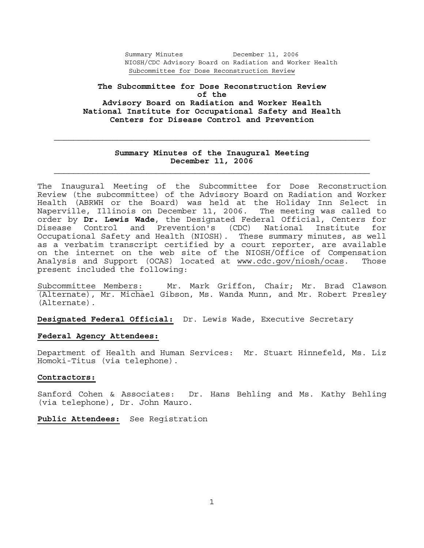**The Subcommittee for Dose Reconstruction Review of the Advisory Board on Radiation and Worker Health National Institute for Occupational Safety and Health Centers for Disease Control and Prevention** 

## **Summary Minutes of the Inaugural Meeting December 11, 2006**

The Inaugural Meeting of the Subcommittee for Dose Reconstruction Review (the subcommittee) of the Advisory Board on Radiation and Worker Health (ABRWH or the Board) was held at the Holiday Inn Select in Naperville, Illinois on December 11, 2006. The meeting was called to order by **Dr. Lewis Wade**, the Designated Federal Official, Centers for Disease Control and Prevention's (CDC) National Institute for Occupational Safety and Health (NIOSH). These summary minutes, as well as a verbatim transcript certified by a court reporter, are available on the internet on the web site of the NIOSH/Office of Compensation Analysis and Support (OCAS) located at www.cdc.gov/niosh/ocas. Those present included the following:

Subcommittee Members: Mr. Mark Griffon, Chair; Mr. Brad Clawson (Alternate), Mr. Michael Gibson, Ms. Wanda Munn, and Mr. Robert Presley (Alternate).

**Designated Federal Official:** Dr. Lewis Wade, Executive Secretary

#### **Federal Agency Attendees:**

Department of Health and Human Services: Mr. Stuart Hinnefeld, Ms. Liz Homoki-Titus (via telephone).

#### **Contractors:**

Sanford Cohen & Associates: Dr. Hans Behling and Ms. Kathy Behling (via telephone), Dr. John Mauro.

**Public Attendees:** See Registration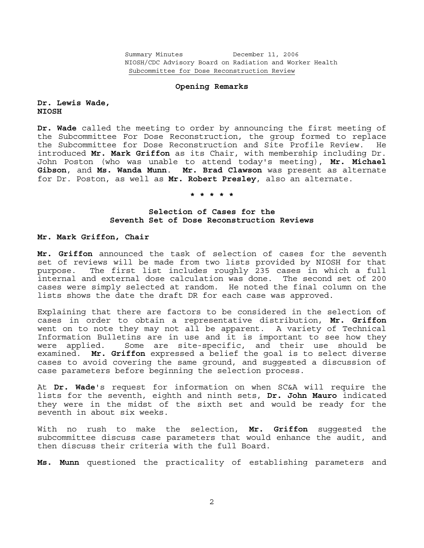#### **Opening Remarks**

#### **Dr. Lewis Wade, NIOSH**

**Dr. Wade** called the meeting to order by announcing the first meeting of the Subcommittee For Dose Reconstruction, the group formed to replace the Subcommittee for Dose Reconstruction and Site Profile Review. He introduced **Mr. Mark Griffon** as its Chair, with membership including Dr. John Poston (who was unable to attend today's meeting), **Mr. Michael Gibson**, and **Ms. Wanda Munn**. **Mr. Brad Clawson** was present as alternate for Dr. Poston, as well as **Mr. Robert Presley**, also an alternate.

### **\* \* \* \* \***

## **Selection of Cases for the Seventh Set of Dose Reconstruction Reviews**

## **Mr. Mark Griffon, Chair**

**Mr. Griffon** announced the task of selection of cases for the seventh set of reviews will be made from two lists provided by NIOSH for that purpose. The first list includes roughly 235 cases in which a full internal and external dose calculation was done. The second set of 200 cases were simply selected at random. He noted the final column on the lists shows the date the draft DR for each case was approved.

Explaining that there are factors to be considered in the selection of cases in order to obtain a representative distribution, **Mr. Griffon** went on to note they may not all be apparent. A variety of Technical Information Bulletins are in use and it is important to see how they were applied. Some are site-specific, and their use should be examined. **Mr. Griffon** expressed a belief the goal is to select diverse cases to avoid covering the same ground, and suggested a discussion of case parameters before beginning the selection process.

At **Dr. Wade**'s request for information on when SC&A will require the lists for the seventh, eighth and ninth sets, **Dr. John Mauro** indicated they were in the midst of the sixth set and would be ready for the seventh in about six weeks.

With no rush to make the selection, **Mr. Griffon** suggested the subcommittee discuss case parameters that would enhance the audit, and then discuss their criteria with the full Board.

**Ms. Munn** questioned the practicality of establishing parameters and

2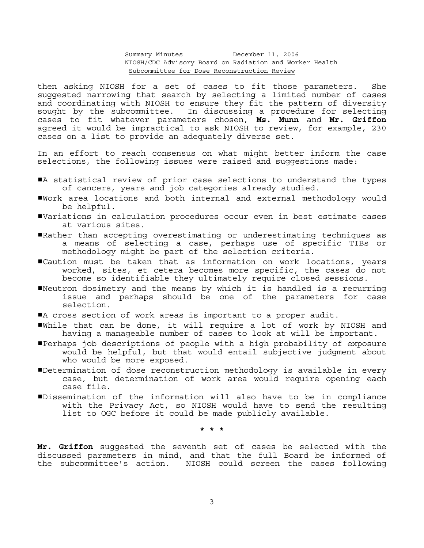then asking NIOSH for a set of cases to fit those parameters. She suggested narrowing that search by selecting a limited number of cases and coordinating with NIOSH to ensure they fit the pattern of diversity sought by the subcommittee. In discussing a procedure for selecting cases to fit whatever parameters chosen, **Ms. Munn** and **Mr. Griffon** agreed it would be impractical to ask NIOSH to review, for example, 230 cases on a list to provide an adequately diverse set.

In an effort to reach consensus on what might better inform the case selections, the following issues were raised and suggestions made:

- A statistical review of prior case selections to understand the types of cancers, years and job categories already studied.
- #Work area locations and both internal and external methodology would be helpful.
- #Variations in calculation procedures occur even in best estimate cases at various sites.
- #Rather than accepting overestimating or underestimating techniques as a means of selecting a case, perhaps use of specific TIBs or methodology might be part of the selection criteria.
- #Caution must be taken that as information on work locations, years worked, sites, et cetera becomes more specific, the cases do not become so identifiable they ultimately require closed sessions.
- #Neutron dosimetry and the means by which it is handled is a recurring issue and perhaps should be one of the parameters for case selection.
- A cross section of work areas is important to a proper audit.
- #While that can be done, it will require a lot of work by NIOSH and having a manageable number of cases to look at will be important.
- #Perhaps job descriptions of people with a high probability of exposure would be helpful, but that would entail subjective judgment about who would be more exposed.
- #Determination of dose reconstruction methodology is available in every case, but determination of work area would require opening each case file.
- #Dissemination of the information will also have to be in compliance with the Privacy Act, so NIOSH would have to send the resulting list to OGC before it could be made publicly available.

 **\* \* \*** 

**Mr. Griffon** suggested the seventh set of cases be selected with the discussed parameters in mind, and that the full Board be informed of the subcommittee's action. NIOSH could screen the cases following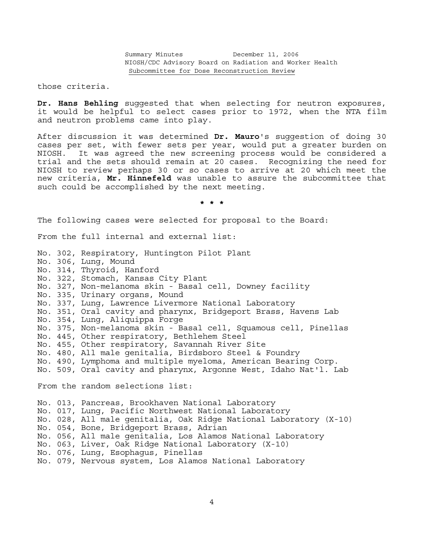those criteria.

**Dr. Hans Behling** suggested that when selecting for neutron exposures, it would be helpful to select cases prior to 1972, when the NTA film and neutron problems came into play.

After discussion it was determined **Dr. Mauro**'s suggestion of doing 30 cases per set, with fewer sets per year, would put a greater burden on NIOSH. It was agreed the new screening process would be considered a trial and the sets should remain at 20 cases. Recognizing the need for NIOSH to review perhaps 30 or so cases to arrive at 20 which meet the new criteria, **Mr. Hinnefeld** was unable to assure the subcommittee that such could be accomplished by the next meeting.

 **\* \* \***

The following cases were selected for proposal to the Board:

From the full internal and external list:

No. 302, Respiratory, Huntington Pilot Plant No. 306, Lung, Mound No. 314, Thyroid, Hanford No. 322, Stomach, Kansas City Plant No. 327, Non-melanoma skin - Basal cell, Downey facility No. 335, Urinary organs, Mound No. 337, Lung, Lawrence Livermore National Laboratory No. 351, Oral cavity and pharynx, Bridgeport Brass, Havens Lab No. 354, Lung, Aliquippa Forge No. 375, Non-melanoma skin - Basal cell, Squamous cell, Pinellas No. 445, Other respiratory, Bethlehem Steel No. 455, Other respiratory, Savannah River Site No. 480, All male genitalia, Birdsboro Steel & Foundry No. 490, Lymphoma and multiple myeloma, American Bearing Corp. No. 509, Oral cavity and pharynx, Argonne West, Idaho Nat'l. Lab From the random selections list: No. 013, Pancreas, Brookhaven National Laboratory No. 017, Lung, Pacific Northwest National Laboratory No. 028, All male genitalia, Oak Ridge National Laboratory (X-10) No. 054, Bone, Bridgeport Brass, Adrian No. 056, All male genitalia, Los Alamos National Laboratory No. 063, Liver, Oak Ridge National Laboratory (X-10) No. 076, Lung, Esophagus, Pinellas No. 079, Nervous system, Los Alamos National Laboratory